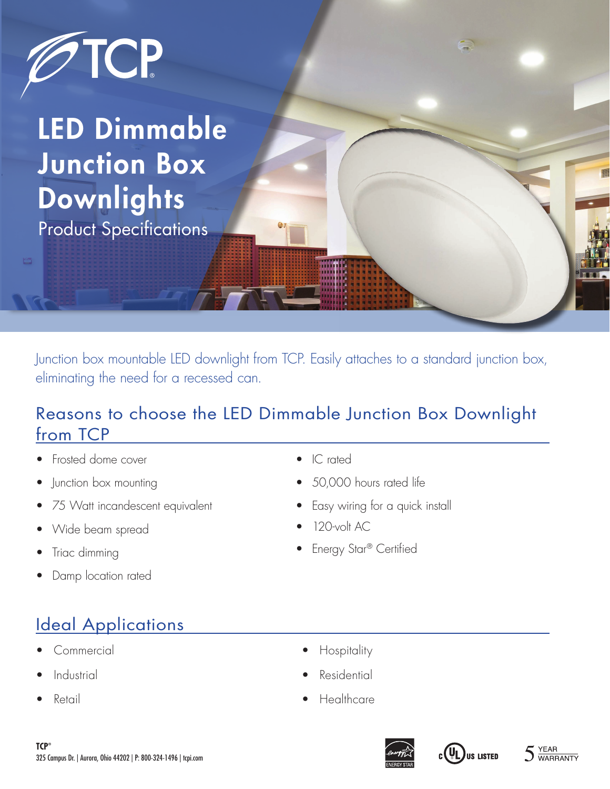

LED Dimmable Junction Box **Downlights** Product Specifications

Junction box mountable LED downlight from TCP. Easily attaches to a standard junction box, eliminating the need for a recessed can.

## Reasons to choose the LED Dimmable Junction Box Downlight from TCP

- Frosted dome cover
- Junction box mounting
- 75 Watt incandescent equivalent
- Wide beam spread
- Triac dimming
- Damp location rated

# Ideal Applications

- Commercial
- **Industrial**
- Retail
- IC rated
- 50,000 hours rated life
- Easy wiring for a quick install
- 120-volt AC
- **Energy Star® Certified**

- Hospitality
- **Residential**
- Healthcare